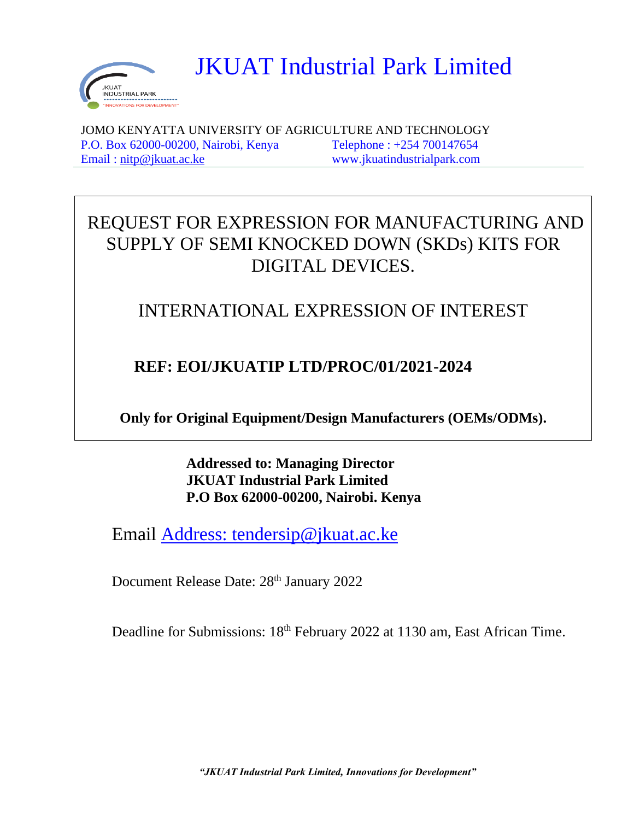

JKUAT Industrial Park Limited

 JOMO KENYATTA UNIVERSITY OF AGRICULTURE AND TECHNOLOGY P.O. Box 62000-00200, Nairobi, Kenya Telephone : +254 700147654 Email : [nitp@jkuat.ac.ke](mailto:nitp@jkuat.ac.ke) www.jkuatindustrialpark.com

# REQUEST FOR EXPRESSION FOR MANUFACTURING AND SUPPLY OF SEMI KNOCKED DOWN (SKDs) KITS FOR DIGITAL DEVICES.

## INTERNATIONAL EXPRESSION OF INTEREST

## **REF: EOI/JKUATIP LTD/PROC/01/2021-2024**

**Only for Original Equipment/Design Manufacturers (OEMs/ODMs).**

**Addressed to: Managing Director JKUAT Industrial Park Limited P.O Box 62000-00200, Nairobi. Kenya**

Email [Address: tendersip@jkuat.ac.ke](mailto:Address:%20tendersip@jkuat.ac.ke)

Document Release Date: 28<sup>th</sup> January 2022

Deadline for Submissions: 18<sup>th</sup> February 2022 at 1130 am, East African Time.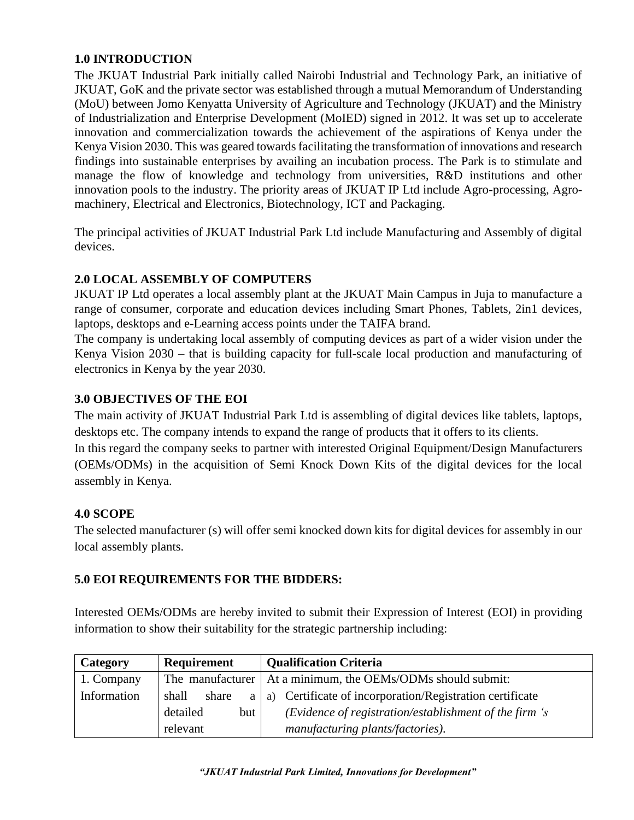## **1.0 INTRODUCTION**

The JKUAT Industrial Park initially called Nairobi Industrial and Technology Park, an initiative of JKUAT, GoK and the private sector was established through a mutual Memorandum of Understanding (MoU) between Jomo Kenyatta University of Agriculture and Technology (JKUAT) and the Ministry of Industrialization and Enterprise Development (MoIED) signed in 2012. It was set up to accelerate innovation and commercialization towards the achievement of the aspirations of Kenya under the Kenya Vision 2030. This was geared towards facilitating the transformation of innovations and research findings into sustainable enterprises by availing an incubation process. The Park is to stimulate and manage the flow of knowledge and technology from universities, R&D institutions and other innovation pools to the industry. The priority areas of JKUAT IP Ltd include Agro-processing, Agromachinery, Electrical and Electronics, Biotechnology, ICT and Packaging.

The principal activities of JKUAT Industrial Park Ltd include Manufacturing and Assembly of digital devices.

## **2.0 LOCAL ASSEMBLY OF COMPUTERS**

JKUAT IP Ltd operates a local assembly plant at the JKUAT Main Campus in Juja to manufacture a range of consumer, corporate and education devices including Smart Phones, Tablets, 2in1 devices, laptops, desktops and e-Learning access points under the TAIFA brand.

The company is undertaking local assembly of computing devices as part of a wider vision under the Kenya Vision 2030 – that is building capacity for full-scale local production and manufacturing of electronics in Kenya by the year 2030.

## **3.0 OBJECTIVES OF THE EOI**

The main activity of JKUAT Industrial Park Ltd is assembling of digital devices like tablets, laptops, desktops etc. The company intends to expand the range of products that it offers to its clients. In this regard the company seeks to partner with interested Original Equipment/Design Manufacturers (OEMs/ODMs) in the acquisition of Semi Knock Down Kits of the digital devices for the local assembly in Kenya.

#### **4.0 SCOPE**

The selected manufacturer (s) will offer semi knocked down kits for digital devices for assembly in our local assembly plants.

#### **5.0 EOI REQUIREMENTS FOR THE BIDDERS:**

Interested OEMs/ODMs are hereby invited to submit their Expression of Interest (EOI) in providing information to show their suitability for the strategic partnership including:

| Category    | Requirement     | <b>Qualification Criteria</b>                                      |
|-------------|-----------------|--------------------------------------------------------------------|
| 1. Company  |                 | The manufacturer   At a minimum, the OEMs/ODMs should submit:      |
| Information | shall<br>share  | $a \mid a$ ) Certificate of incorporation/Registration certificate |
|             | detailed<br>but | (Evidence of registration/establishment of the firm 's             |
|             | relevant        | manufacturing plants/factories).                                   |

 *"JKUAT Industrial Park Limited, Innovations for Development"*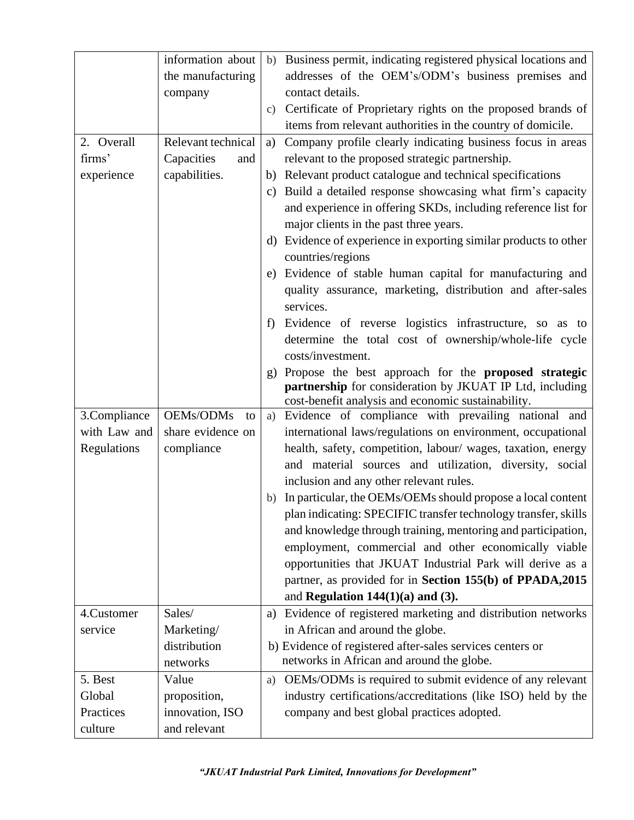|              | information about  |    | b) Business permit, indicating registered physical locations and                                                        |
|--------------|--------------------|----|-------------------------------------------------------------------------------------------------------------------------|
|              | the manufacturing  |    | addresses of the OEM's/ODM's business premises and                                                                      |
|              | company            |    | contact details.                                                                                                        |
|              |                    |    | c) Certificate of Proprietary rights on the proposed brands of                                                          |
|              |                    |    | items from relevant authorities in the country of domicile.                                                             |
| 2. Overall   | Relevant technical | a) | Company profile clearly indicating business focus in areas                                                              |
| firms'       | Capacities<br>and  |    | relevant to the proposed strategic partnership.                                                                         |
| experience   | capabilities.      |    | b) Relevant product catalogue and technical specifications                                                              |
|              |                    |    | c) Build a detailed response showcasing what firm's capacity                                                            |
|              |                    |    | and experience in offering SKDs, including reference list for                                                           |
|              |                    |    | major clients in the past three years.                                                                                  |
|              |                    | d) | Evidence of experience in exporting similar products to other                                                           |
|              |                    |    | countries/regions                                                                                                       |
|              |                    |    | e) Evidence of stable human capital for manufacturing and                                                               |
|              |                    |    | quality assurance, marketing, distribution and after-sales                                                              |
|              |                    |    | services.                                                                                                               |
|              |                    | f  | Evidence of reverse logistics infrastructure, so as to                                                                  |
|              |                    |    | determine the total cost of ownership/whole-life cycle                                                                  |
|              |                    |    | costs/investment.                                                                                                       |
|              |                    | g) | Propose the best approach for the <b>proposed strategic</b><br>partnership for consideration by JKUAT IP Ltd, including |
|              |                    |    | cost-benefit analysis and economic sustainability.                                                                      |
| 3.Compliance | OEMs/ODMs<br>to    |    | a) Evidence of compliance with prevailing national and                                                                  |
| with Law and | share evidence on  |    | international laws/regulations on environment, occupational                                                             |
| Regulations  | compliance         |    | health, safety, competition, labour/ wages, taxation, energy                                                            |
|              |                    |    | and material sources and utilization, diversity, social                                                                 |
|              |                    |    | inclusion and any other relevant rules.                                                                                 |
|              |                    |    | b) In particular, the OEMs/OEMs should propose a local content                                                          |
|              |                    |    | plan indicating: SPECIFIC transfer technology transfer, skills                                                          |
|              |                    |    | and knowledge through training, mentoring and participation,                                                            |
|              |                    |    | employment, commercial and other economically viable                                                                    |
|              |                    |    | opportunities that JKUAT Industrial Park will derive as a                                                               |
|              |                    |    | partner, as provided for in Section 155(b) of PPADA, 2015                                                               |
|              |                    |    | and Regulation $144(1)(a)$ and (3).                                                                                     |
| 4.Customer   | Sales/             | a) | Evidence of registered marketing and distribution networks                                                              |
| service      | Marketing/         |    | in African and around the globe.                                                                                        |
|              | distribution       |    | b) Evidence of registered after-sales services centers or                                                               |
|              | networks           |    | networks in African and around the globe.                                                                               |
| 5. Best      | Value              | a) | OEMs/ODMs is required to submit evidence of any relevant                                                                |
| Global       | proposition,       |    | industry certifications/accreditations (like ISO) held by the                                                           |
| Practices    | innovation, ISO    |    | company and best global practices adopted.                                                                              |
| culture      | and relevant       |    |                                                                                                                         |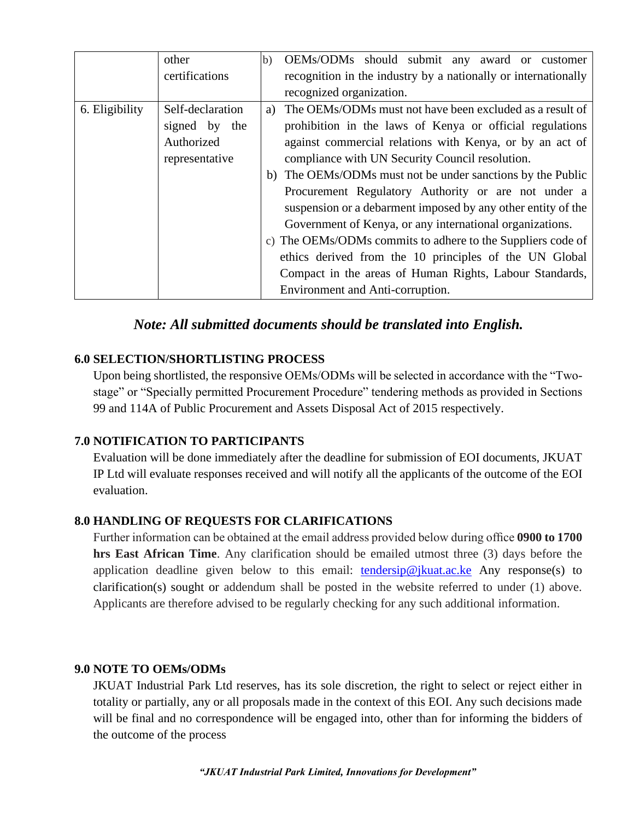|                | other            | OEMs/ODMs should submit any award or customer<br>(b)           |
|----------------|------------------|----------------------------------------------------------------|
|                | certifications   | recognition in the industry by a nationally or internationally |
|                |                  | recognized organization.                                       |
| 6. Eligibility | Self-declaration | a) The OEMs/ODMs must not have been excluded as a result of    |
|                | signed by the    | prohibition in the laws of Kenya or official regulations       |
|                | Authorized       | against commercial relations with Kenya, or by an act of       |
|                | representative   | compliance with UN Security Council resolution.                |
|                |                  | b) The OEMs/ODMs must not be under sanctions by the Public     |
|                |                  | Procurement Regulatory Authority or are not under a            |
|                |                  | suspension or a debarment imposed by any other entity of the   |
|                |                  | Government of Kenya, or any international organizations.       |
|                |                  | c) The OEMs/ODMs commits to adhere to the Suppliers code of    |
|                |                  | ethics derived from the 10 principles of the UN Global         |
|                |                  | Compact in the areas of Human Rights, Labour Standards,        |
|                |                  | Environment and Anti-corruption.                               |

## *Note: All submitted documents should be translated into English.*

#### **6.0 SELECTION/SHORTLISTING PROCESS**

Upon being shortlisted, the responsive OEMs/ODMs will be selected in accordance with the "Twostage" or "Specially permitted Procurement Procedure" tendering methods as provided in Sections 99 and 114A of Public Procurement and Assets Disposal Act of 2015 respectively.

#### **7.0 NOTIFICATION TO PARTICIPANTS**

Evaluation will be done immediately after the deadline for submission of EOI documents, JKUAT IP Ltd will evaluate responses received and will notify all the applicants of the outcome of the EOI evaluation.

#### **8.0 HANDLING OF REQUESTS FOR CLARIFICATIONS**

Further information can be obtained at the email address provided below during office **0900 to 1700 hrs East African Time**. Any clarification should be emailed utmost three (3) days before the application deadline given below to this email:  $tendersip@jkuat.acke$  Any response(s) to clarification(s) sought or addendum shall be posted in the website referred to under (1) above. Applicants are therefore advised to be regularly checking for any such additional information.

#### **9.0 NOTE TO OEMs/ODMs**

JKUAT Industrial Park Ltd reserves, has its sole discretion, the right to select or reject either in totality or partially, any or all proposals made in the context of this EOI. Any such decisions made will be final and no correspondence will be engaged into, other than for informing the bidders of the outcome of the process